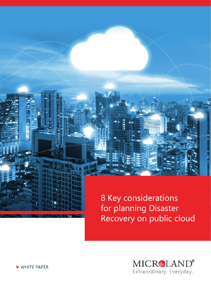8 Key considerations for planning Disaster Recovery on public cloud



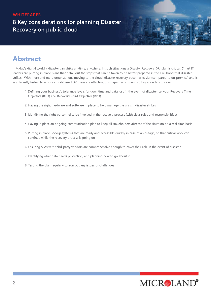### **8 Key considerations for planning Disaster Recovery on public cloud**

# **Abstract**

In today's digital world a disaster can strike anytime, anywhere. In such situations a Disaster Recovery(DR) plan is critical. Smart IT leaders are putting in place plans that detail out the steps that can be taken to be better prepared in the likelihood that disaster strikes. With more and more organizations moving to the cloud, disaster recovery becomes easier (compared to on-premise) and is significantly faster. To ensure cloud-based DR plans are effective, this paper recommends 8 key areas to consider:

- 1. Defining your business's tolerance levels for downtime and data loss in the event of disaster, i.e. your Recovery Time Objective (RTO) and Recovery Point Objective (RPO)
- 2. Having the right hardware and software in place to help manage the crisis if disaster strikes
- 3. Identifying the right personnel to be involved in the recovery process (with clear roles and responsibilities)
- 4. Having in place an ongoing communication plan to keep all stakeholders abreast of the situation on a real-time basis
- 5. Putting in place backup systems that are ready and accessible quickly in case of an outage, so that critical work can continue while the recovery process is going on
- 6. Ensuring SLAs with third-party vendors are comprehensive enough to cover their role in the event of disaster
- 7. Identifying what data needs protection, and planning how to go about it
- 8. Testing the plan regularly to iron out any issues or challenges

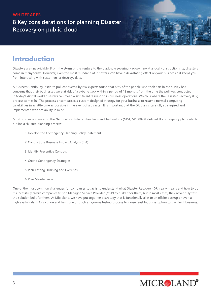**8 Key considerations for planning Disaster Recovery on public cloud** 

### **Introduction**

Disasters are unavoidable. From the storm of the century to the blackhole severing a power line at a local construction site, disasters come in many forms. However, even the most mundane of 'disasters' can have a devastating effect on your business if it keeps you from interacting with customers or destroys data.

A Business Continuity Institute poll conducted by risk experts found that 85% of the people who took part in the survey had concerns that their businesses were at risk of a cyber-attack within a period of 12 months from the time the poll was conducted. In today's digital world disasters can mean a significant disruption in business operations. Which is where the Disaster Recovery (DR) process comes in. The process encompasses a custom designed strategy for your business to resume normal computing capabilities in as little time as possible in the event of a disaster. It is important that the DR plan is carefully strategized and implemented with scalability in mind.

Most businesses confer to the National Institute of Standards and Technology (NIST) SP 800-34 defined IT contingency plans which outline a six-step planning process:

- 1. Develop the Contingency Planning Policy Statement
- 2. Conduct the Business Impact Analysis (BIA)
- 3. Identify Preventive Controls
- 4. Create Contingency Strategies
- 5. Plan Testing, Training and Exercises
- 6. Plan Maintenance

One of the most common challenges for companies today is to understand what Disaster Recovery (DR) really means and how to do it successfully. While companies trust a Managed Service Provider (MSP) to build it for them, but in most cases, they never fully test the solution built for them. At Microland, we have put together a strategy that is functionally akin to an offsite backup or even a high availability (HA) solution and has gone through a rigorous testing process to cause least bit of disruption to the client business.

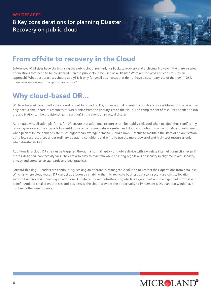**8 Key considerations for planning Disaster Recovery on public cloud** 

## **From offsite to recovery in the Cloud**

Enterprises of all sizes have started using the public cloud, primarily for backup, recovery and archiving. However, there are a series of questions that need to be considered. Can the public cloud be used as a DR site? What are the pros and cons of such an approach? What best practices should apply? Is it only for small businesses that do not have a secondary site of their own? Or is there relevance even for larger organizations?

## **Why cloud-based DR...**

While virtualized cloud platforms are well suited to providing DR, under normal operating conditions, a cloud-based DR service may only need a small share of resources to synchronize from the primary site to the cloud. The complete set of resources needed to run the application can be provisioned (and paid for) in the event of an actual disaster.

Automated virtualization platforms for DR ensure that additional resources can be rapidly activated when needed, thus significantly reducing recovery time after a failure. Additionally, by its very nature, on-demand cloud computing provides significant cost-benefit when peak resource demands are much higher than average demand. Cloud allows IT teams to maintain the state of an application using low cost resources under ordinary operating conditions and bring to use the more powerful and high-cost resources only when disaster strikes.

Additionally, a cloud DR site can be triggered through a normal laptop or mobile device with a wireless internet connection even if the 'as-designed' connectivity fails. They are also easy to maintain while ensuring high levels of security in alignment with security, privacy and compliance standards and best practices.

Forward thinking IT leaders are continuously seeking an affordable, manageable solution to protect their operations from data loss. Which is where cloud-based DR can act as a boon by enabling them to replicate business data to a secondary off-site location without building and managing an additional IT data center and infrastructure; which is a great cost and management effort saving benefit. And, for smaller enterprises and businesses, the cloud provides the opportunity to implement a DR plan that would have not been otherwise possible.

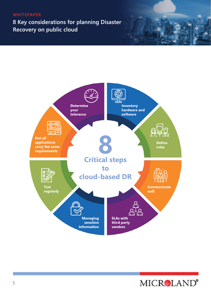**8 Key considerations for planning Disaster Recovery on public cloud** 



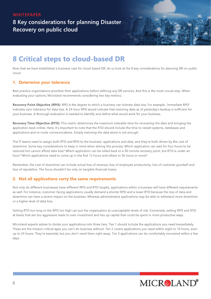**8 Key considerations for planning Disaster Recovery on public cloud** 

## **8 Critical steps to cloud-based DR**

Now that we have established a business case for cloud-based DR, let us look at the 8 key considerations for planning DR on public cloud.

#### **1. Determine your tolerance**

Best practice organizations prioritize their applications before defining any DR services. And this is the most crucial step. When evaluating your options, Microland recommends considering two key metrics:

Recovery Point Objective (RPO): RPO is the degree to which a business can tolerate data loss. For example, 'immediate RPO' indicates zero tolerance for data loss. A 24-hour RPO would indicate that restoring data as of yesterday's backup is sufficient for your business. A thorough evaluation is needed to identify and define what would work for your business.

**Recovery Time Objective (RTO):** This metric determines the maximum tolerable time for recovering the data and bringing the application back online. Here, it's important to note that the RTO should include the time to restart systems, databases and applications and re-route communications. Simply restoring the data alone is not enough.

The IT teams need to assign both RTO and RPO to the business' applications and data, and they're both driven by the cost of downtime. Some key considerations to keep in mind when driving this process: Which application can wait for four hours to be restored but cannot afford data loss? Which application can be rolled back to a 30-minute recovery point, but RTO is under an hour? Which applications need to come up in the first 12 hours and others in 36 hours or more?

Remember, the cost of downtime can include actual loss of revenue, loss of employee productivity, loss of customer goodwill and loss of reputation. The focus shouldn't be only on tangible financial losses.

#### **2. Not all applications carry the same requirements**

Not only do different businesses have different RPO and RTO targets, applications within a business will have different requirements as well. For instance, customer-facing applications usually demand a shorter RPO and a lower RTO because the loss of data and downtime can have a severe impact on the business. Whereas administrative applications may be able to withstand more downtime or a higher level of data loss.

Setting RTO too long or the RPO too high can put the organization at unacceptable levels of risk. Conversely, setting RPO and RTO at levels that are too aggressive leads to over-investment and ties up capital that could be spent in more productive ways.

Microland experts advise to divide your applications into three tiers. Tier 1 should include the applications you need immediately. These are the mission-critical apps you can't do business without. Tier 2 covers applications you need within eight to 10 hours, even up to 24 hours. They're essential, but you don't need them right away. Tier 3 applications can be comfortably recovered within a few days.

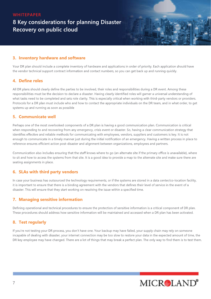### **8 Key considerations for planning Disaster Recovery on public cloud**

#### **3. Inventory hardware and software**

Your DR plan should include a complete inventory of hardware and applications in order of priority. Each application should have the vendor technical support contract information and contact numbers, so you can get back up and running quickly.

#### **4. Define roles**

All DR plans should clearly define the parties to be involved, their roles and responsibilities during a DR event. Among these responsibilities must be the decision to declare a disaster. Having clearly identified roles will garner a universal understanding of what tasks need to be completed and sets role clarity. This is especially critical when working with third-party vendors or providers. Protocols for a DR plan must include who and how to contact the appropriate individuals on the DR team, and in what order, to get systems up and running as soon as possible

#### **5.Communicatewell**

Perhaps one of the most overlooked components of a DR plan is having a good communication plan. Communication is critical when responding to and recovering from any emergency, crisis event or disaster. So, having a clear communication strategy that identifies effective and reliable methods for communicating with employees, vendors, suppliers and customers is key. It is not enough to communicate in a timely manner just during the initial notification of an emergency. Having a written process in place to reference ensures efficient action post-disaster and alignment between organizations, employees and partners.

Communication also includes ensuring that the staff knows where to go (an alternate site if the primary office is unavailable), where to sit and how to access the systems from that site. It is a good idea to provide a map to the alternate site and make sure there are seating assignments in place.

#### **6. SLAs with third party vendors**

In case your business has outsourced the technology requirements, or if the systems are stored in a data center/co-location facility, it is important to ensure that there is a binding agreement with the vendors that defines their level of service in the event of a disaster. This will ensure that they start working on resolving the issue within a specified time.

#### **7. Managing sensitive information**

Defining operational and technical procedures to ensure the protection of sensitive information is a critical component of DR plan. These procedures should address how sensitive information will be maintained and accessed when a DR plan has been activated.

#### **8. Test regularly**

If you're not testing your DR process, you don't have one. Your backup may have failed, your supply chain may rely on someone incapable of dealing with disaster, your internet connection may be too slow to restore your data in the expected amount of time, the DR key employee may have changed. There are a lot of things that may break a perfect plan. The only way to find them is to test them.

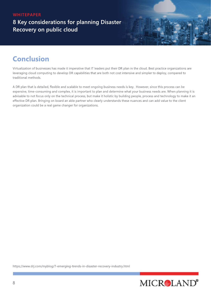**8 Key considerations for planning Disaster Recovery on public cloud** 

### **Conclusion**

Virtualization of businesses has made it imperative that IT leaders put their DR plan in the cloud. Best practice organizations are leveraging cloud computing to develop DR capabilities that are both not cost intensive and simpler to deploy, compared to traditional methods.

A DR plan that is detailed, flexible and scalable to meet ongoing business needs is key. However, since this process can be expensive, time-consuming and complex, it is important to plan and determine what your business needs are. When planning it is advisable to not focus only on the technical process, but make it holistic by building people, process and technology to make it an effective DR plan. Bringing on board an able partner who clearly understands these nuances and can add value to the client organization could be a real game changer for organizations.

https://www.drj.com/myblog/7-emerging-trends-in-disaster-recovery-industry.html